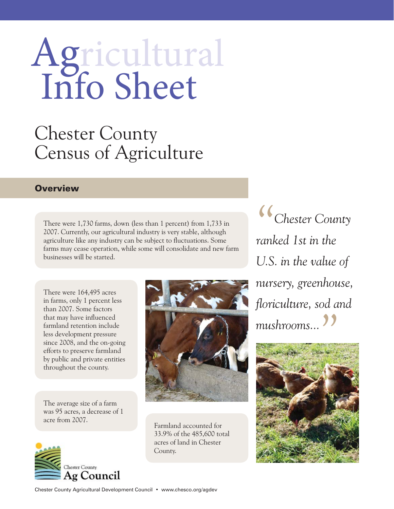## Agricultural<br>Info Sheet

## Chester County Census of Agriculture Chester County

## **Overview**

There were 1,730 farms, down (less than 1 percent) from 1,733 in 2007. Currently, our agricultural industry is very stable, although agriculture like any industry can be subject to fluctuations. Some farms may cease operation, while some will consolidate and new farm businesses will be started.

There were 164,495 acres in farms, only 1 percent less than 2007. Some factors that may have influenced farmland retention include less development pressure since 2008, and the on-going efforts to preserve farmland by public and private entities throughout the county.

The average size of a farm was 95 acres, a decrease of 1 acre from 2007.





Farmland accounted for 33.9% of the 485,600 total acres of land in Chester County.

*"Chester County ranked 1st in the U.S. in the value of nursery, greenhouse, floriculture, sod and mushrooms... "*